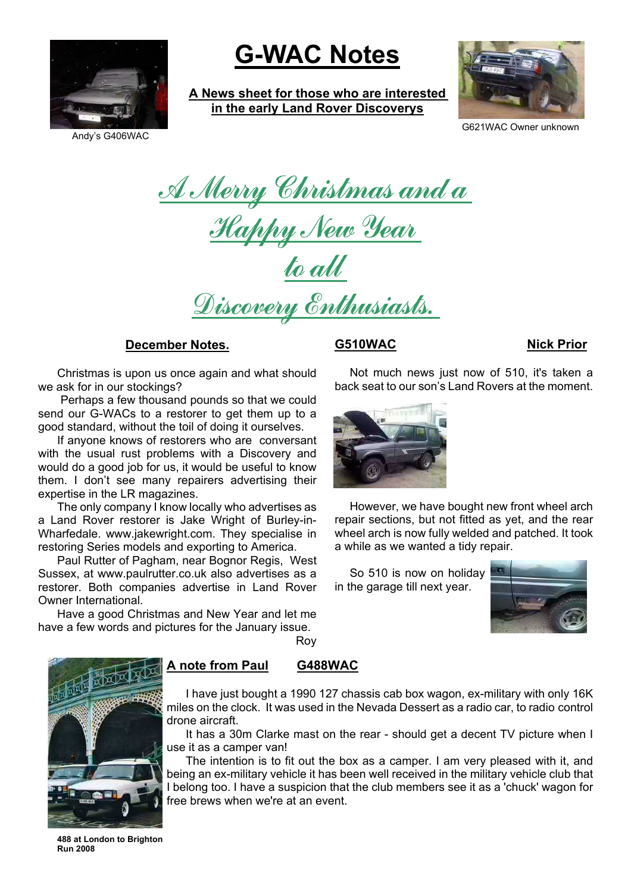

# **G-WAC Notes**

**A News sheet for those who are interested in the early Land Rover Discoverys**



G621WAC Owner unknown

<u>A Merry Christmas and a</u> <u>Happy New Year</u> to all

Discovery Enthusiasts.

# **December Notes.**

Christmas is upon us once again and what should we ask for in our stockings?

 Perhaps a few thousand pounds so that we could send our G-WACs to a restorer to get them up to a good standard, without the toil of doing it ourselves.

If anyone knows of restorers who are conversant with the usual rust problems with a Discovery and would do a good job for us, it would be useful to know them. I don't see many repairers advertising their expertise in the LR magazines.

The only company I know locally who advertises as a Land Rover restorer is Jake Wright of Burley-in-Wharfedale. www.jakewright.com. They specialise in restoring Series models and exporting to America.

Paul Rutter of Pagham, near Bognor Regis, West Sussex, at www.paulrutter.co.uk also advertises as a restorer. Both companies advertise in Land Rover Owner International.

Have a good Christmas and New Year and let me have a few words and pictures for the January issue.

# **G510WAC Nick Prior**

Not much news just now of 510, it's taken a back seat to our son's Land Rovers at the moment.



However, we have bought new front wheel arch repair sections, but not fitted as yet, and the rear wheel arch is now fully welded and patched. It took a while as we wanted a tidy repair.

So 510 is now on holiday in the garage till next year.





# **A note from Paul G488WAC**

Roy

I have just bought a 1990 127 chassis cab box wagon, ex-military with only 16K miles on the clock. It was used in the Nevada Dessert as a radio car, to radio control drone aircraft.

It has a 30m Clarke mast on the rear - should get a decent TV picture when I use it as a camper van!

The intention is to fit out the box as a camper. I am very pleased with it, and being an ex-military vehicle it has been well received in the military vehicle club that I belong too. I have a suspicion that the club members see it as a 'chuck' wagon for free brews when we're at an event.

**488 at London to Brighton Run 2008**